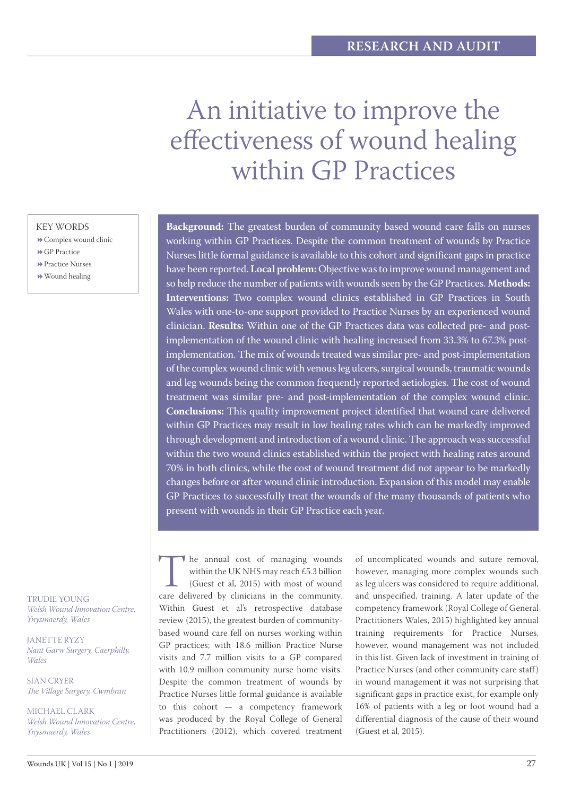# An initiative to improve the effectiveness of wound healing within GP Practices

## KEY WORDS

- Complex wound clinic
- **▶ GP Practice**
- **Practice Nurses** Wound healing

TRUDIE YOUNG *Welsh Wound Innovation Centre,* 

JANETTE RYZY *Nant Garw Surgery, Caerphilly, Wales*

*Ynysmaerdy, Wales*

SIAN CRYER *The Village Surgery, Cwmbran*

MICHAEL CLARK *Welsh Wound Innovation Centre, Ynysmaerdy, Wales*

**Background:** The greatest burden of community based wound care falls on nurses working within GP Practices. Despite the common treatment of wounds by Practice Nurses little formal guidance is available to this cohort and significant gaps in practice have been reported. **Local problem:** Objective was to improve wound management and so help reduce the number of patients with wounds seen by the GP Practices. **Methods: Interventions:** Two complex wound clinics established in GP Practices in South Wales with one-to-one support provided to Practice Nurses by an experienced wound clinician. **Results:** Within one of the GP Practices data was collected pre- and postimplementation of the wound clinic with healing increased from 33.3% to 67.3% postimplementation. The mix of wounds treated was similar pre- and post-implementation of the complex wound clinic with venous leg ulcers, surgical wounds, traumatic wounds and leg wounds being the common frequently reported aetiologies. The cost of wound treatment was similar pre- and post-implementation of the complex wound clinic. **Conclusions:** This quality improvement project identified that wound care delivered within GP Practices may result in low healing rates which can be markedly improved through development and introduction of a wound clinic. The approach was successful within the two wound clinics established within the project with healing rates around 70% in both clinics, while the cost of wound treatment did not appear to be markedly changes before or after wound clinic introduction. Expansion of this model may enable GP Practices to successfully treat the wounds of the many thousands of patients who present with wounds in their GP Practice each year.

The annual cost of managing wounds<br>within the UK NHS may reach £5.3 billion<br>(Guest et al, 2015) with most of wound<br>care delivered by clinicians in the community. within the UK NHS may reach £5.3 billion (Guest et al, 2015) with most of wound Within Guest et al's retrospective database review (2015), the greatest burden of communitybased wound care fell on nurses working within GP practices; with 18.6 million Practice Nurse visits and 7.7 million visits to a GP compared with 10.9 million community nurse home visits. Despite the common treatment of wounds by Practice Nurses little formal guidance is available to this cohort — a competency framework was produced by the Royal College of General Practitioners (2012), which covered treatment

of uncomplicated wounds and suture removal, however, managing more complex wounds such as leg ulcers was considered to require additional, and unspecified, training. A later update of the competency framework (Royal College of General Practitioners Wales, 2015) highlighted key annual training requirements for Practice Nurses, however, wound management was not included in this list. Given lack of investment in training of Practice Nurses (and other community care staff) in wound management it was not surprising that significant gaps in practice exist, for example only 16% of patients with a leg or foot wound had a differential diagnosis of the cause of their wound (Guest et al, 2015).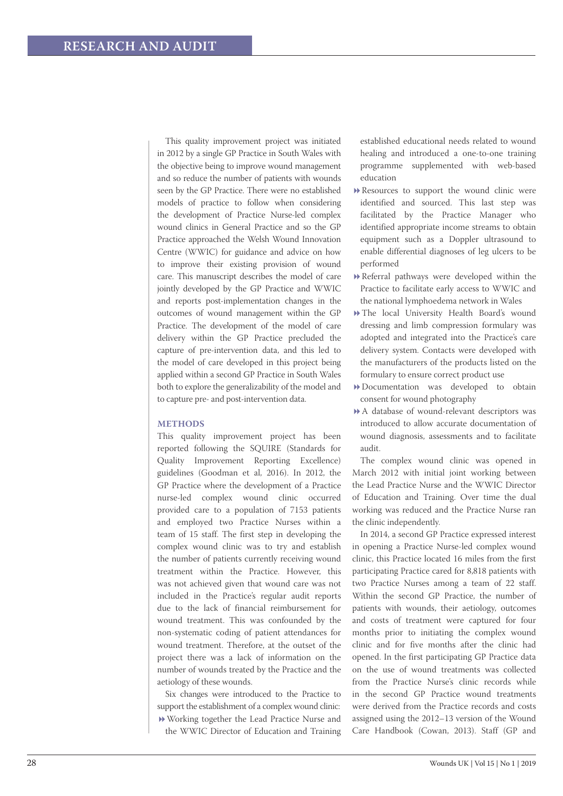This quality improvement project was initiated in 2012 by a single GP Practice in South Wales with the objective being to improve wound management and so reduce the number of patients with wounds seen by the GP Practice. There were no established models of practice to follow when considering the development of Practice Nurse-led complex wound clinics in General Practice and so the GP Practice approached the Welsh Wound Innovation Centre (WWIC) for guidance and advice on how to improve their existing provision of wound care. This manuscript describes the model of care jointly developed by the GP Practice and WWIC and reports post-implementation changes in the outcomes of wound management within the GP Practice. The development of the model of care delivery within the GP Practice precluded the capture of pre-intervention data, and this led to the model of care developed in this project being applied within a second GP Practice in South Wales both to explore the generalizability of the model and to capture pre- and post-intervention data.

## **METHODS**

This quality improvement project has been reported following the SQUIRE (Standards for Quality Improvement Reporting Excellence) guidelines (Goodman et al, 2016). In 2012, the GP Practice where the development of a Practice nurse-led complex wound clinic occurred provided care to a population of 7153 patients and employed two Practice Nurses within a team of 15 staff. The first step in developing the complex wound clinic was to try and establish the number of patients currently receiving wound treatment within the Practice. However, this was not achieved given that wound care was not included in the Practice's regular audit reports due to the lack of financial reimbursement for wound treatment. This was confounded by the non-systematic coding of patient attendances for wound treatment. Therefore, at the outset of the project there was a lack of information on the number of wounds treated by the Practice and the aetiology of these wounds.

Six changes were introduced to the Practice to support the establishment of a complex wound clinic: Working together the Lead Practice Nurse and the WWIC Director of Education and Training established educational needs related to wound healing and introduced a one-to-one training programme supplemented with web-based education

- Resources to support the wound clinic were identified and sourced. This last step was facilitated by the Practice Manager who identified appropriate income streams to obtain equipment such as a Doppler ultrasound to enable differential diagnoses of leg ulcers to be performed
- Referral pathways were developed within the Practice to facilitate early access to WWIC and the national lymphoedema network in Wales
- The local University Health Board's wound dressing and limb compression formulary was adopted and integrated into the Practice's care delivery system. Contacts were developed with the manufacturers of the products listed on the formulary to ensure correct product use
- Documentation was developed to obtain consent for wound photography
- A database of wound-relevant descriptors was introduced to allow accurate documentation of wound diagnosis, assessments and to facilitate audit.

The complex wound clinic was opened in March 2012 with initial joint working between the Lead Practice Nurse and the WWIC Director of Education and Training. Over time the dual working was reduced and the Practice Nurse ran the clinic independently.

In 2014, a second GP Practice expressed interest in opening a Practice Nurse-led complex wound clinic, this Practice located 16 miles from the first participating Practice cared for 8,818 patients with two Practice Nurses among a team of 22 staff. Within the second GP Practice, the number of patients with wounds, their aetiology, outcomes and costs of treatment were captured for four months prior to initiating the complex wound clinic and for five months after the clinic had opened. In the first participating GP Practice data on the use of wound treatments was collected from the Practice Nurse's clinic records while in the second GP Practice wound treatments were derived from the Practice records and costs assigned using the 2012–13 version of the Wound Care Handbook (Cowan, 2013). Staff (GP and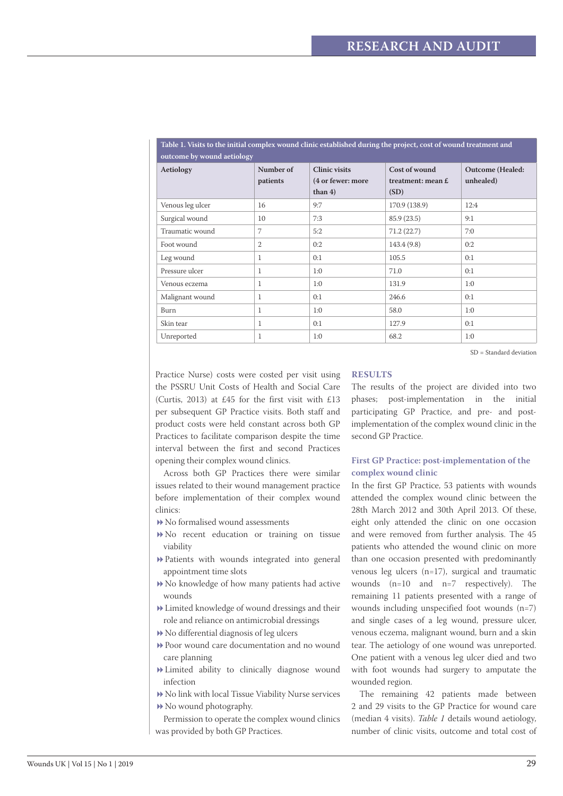| outcome by wound aetiology |                       |                                                        |                                              |                                      |  |  |  |  |  |
|----------------------------|-----------------------|--------------------------------------------------------|----------------------------------------------|--------------------------------------|--|--|--|--|--|
| Aetiology                  | Number of<br>patients | <b>Clinic visits</b><br>(4 or fewer: more<br>than $4)$ | Cost of wound<br>treatment: mean $E$<br>(SD) | <b>Outcome</b> (Healed:<br>unhealed) |  |  |  |  |  |
| Venous leg ulcer           | 16                    | 9:7                                                    | 170.9 (138.9)                                | 12:4                                 |  |  |  |  |  |
| Surgical wound             | 10                    | 7:3                                                    | 85.9 (23.5)                                  | 9:1                                  |  |  |  |  |  |
| Traumatic wound            | 7                     | 5:2                                                    | 71.2(22.7)                                   | 7:0                                  |  |  |  |  |  |
| Foot wound                 | 2                     | 0:2                                                    | 143.4 (9.8)                                  | 0:2                                  |  |  |  |  |  |
| Leg wound                  | $\mathbf{1}$          | 0:1                                                    | 105.5                                        | 0:1                                  |  |  |  |  |  |
| Pressure ulcer             | 1                     | 1:0                                                    | 71.0                                         | 0:1                                  |  |  |  |  |  |
| Venous eczema              | 1                     | 1:0                                                    | 131.9                                        | 1:0                                  |  |  |  |  |  |
| Malignant wound            | $\mathbf{1}$          | 0:1                                                    | 246.6                                        | 0:1                                  |  |  |  |  |  |
| Burn                       | $\mathbf{1}$          | 1:0                                                    | 58.0                                         | 1:0                                  |  |  |  |  |  |
| Skin tear                  | 1                     | 0:1                                                    | 127.9                                        | 0:1                                  |  |  |  |  |  |
| Unreported                 | $\mathbf{1}$          | 1:0                                                    | 68.2                                         | 1:0                                  |  |  |  |  |  |

**Table 1. Visits to the initial complex wound clinic established during the project, cost of wound treatment and** 

SD = Standard deviation

Practice Nurse) costs were costed per visit using the PSSRU Unit Costs of Health and Social Care (Curtis, 2013) at £45 for the first visit with £13 per subsequent GP Practice visits. Both staff and product costs were held constant across both GP Practices to facilitate comparison despite the time interval between the first and second Practices opening their complex wound clinics.

Across both GP Practices there were similar issues related to their wound management practice before implementation of their complex wound clinics:

- No formalised wound assessments
- No recent education or training on tissue viability
- Patients with wounds integrated into general appointment time slots
- No knowledge of how many patients had active wounds
- Limited knowledge of wound dressings and their role and reliance on antimicrobial dressings
- No differential diagnosis of leg ulcers
- Poor wound care documentation and no wound care planning
- Limited ability to clinically diagnose wound infection
- No link with local Tissue Viability Nurse services  $\blacktriangleright$  No wound photography.

Permission to operate the complex wound clinics was provided by both GP Practices.

#### **RESULTS**

The results of the project are divided into two phases; post-implementation in the initial participating GP Practice, and pre- and postimplementation of the complex wound clinic in the second GP Practice.

## **First GP Practice: post-implementation of the complex wound clinic**

In the first GP Practice, 53 patients with wounds attended the complex wound clinic between the 28th March 2012 and 30th April 2013. Of these, eight only attended the clinic on one occasion and were removed from further analysis. The 45 patients who attended the wound clinic on more than one occasion presented with predominantly venous leg ulcers (n=17), surgical and traumatic wounds (n=10 and n=7 respectively). The remaining 11 patients presented with a range of wounds including unspecified foot wounds (n=7) and single cases of a leg wound, pressure ulcer, venous eczema, malignant wound, burn and a skin tear. The aetiology of one wound was unreported. One patient with a venous leg ulcer died and two with foot wounds had surgery to amputate the wounded region.

The remaining 42 patients made between 2 and 29 visits to the GP Practice for wound care (median 4 visits). *Table 1* details wound aetiology, number of clinic visits, outcome and total cost of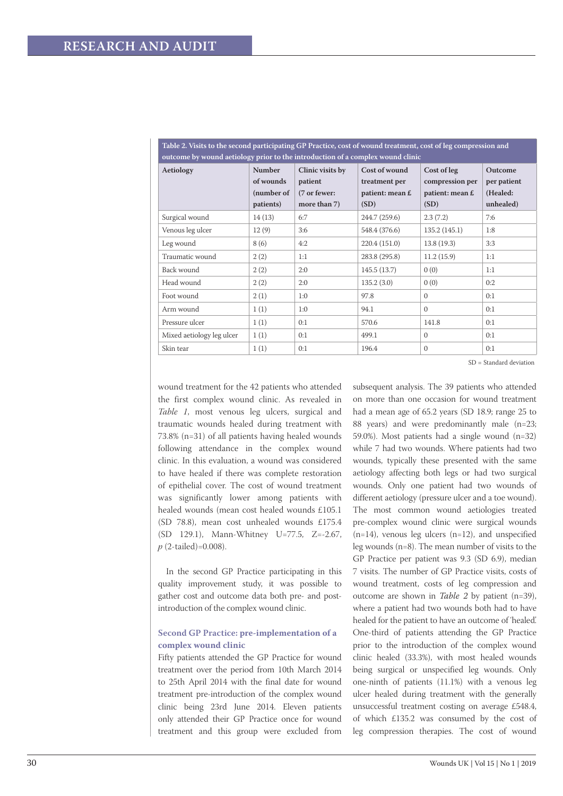| ARDIO AT TIDIO OD GILO DOODING PRI GIOIPHUMME CHE A ANOVIOUS CODE ON TI OMING GEOMONICHOS CODE ON NOME CODIDINAM<br>outcome by wound aetiology prior to the introduction of a complex wound clinic |                                                       |                                                             |                                                           |                                                           |                                                 |  |  |
|----------------------------------------------------------------------------------------------------------------------------------------------------------------------------------------------------|-------------------------------------------------------|-------------------------------------------------------------|-----------------------------------------------------------|-----------------------------------------------------------|-------------------------------------------------|--|--|
| Aetiology                                                                                                                                                                                          | <b>Number</b><br>of wounds<br>(number of<br>patients) | Clinic visits by<br>patient<br>(7 or fewer:<br>more than 7) | Cost of wound<br>treatment per<br>patient: mean £<br>(SD) | Cost of leg<br>compression per<br>patient: mean £<br>(SD) | Outcome<br>per patient<br>(Healed:<br>unhealed) |  |  |
| Surgical wound                                                                                                                                                                                     | 14(13)                                                | 6:7                                                         | 244.7 (259.6)                                             | 2.3(7.2)                                                  | 7:6                                             |  |  |
| Venous leg ulcer                                                                                                                                                                                   | 12(9)                                                 | 3:6                                                         | 548.4 (376.6)                                             | 135.2(145.1)                                              | 1:8                                             |  |  |
| Leg wound                                                                                                                                                                                          | 8(6)                                                  | 4:2                                                         | 220.4 (151.0)                                             | 13.8(19.3)                                                | 3:3                                             |  |  |
| Traumatic wound                                                                                                                                                                                    | 2(2)                                                  | 1:1                                                         | 283.8 (295.8)                                             | 11.2(15.9)                                                | 1:1                                             |  |  |
| Back wound                                                                                                                                                                                         | 2(2)                                                  | 2:0                                                         | 145.5(13.7)                                               | 0(0)                                                      | 1:1                                             |  |  |
| Head wound                                                                                                                                                                                         | 2(2)                                                  | 2:0                                                         | 135.2(3.0)                                                | 0(0)                                                      | 0:2                                             |  |  |
| Foot wound                                                                                                                                                                                         | 2(1)                                                  | 1:0                                                         | 97.8                                                      | $\Omega$                                                  | 0:1                                             |  |  |
| Arm wound                                                                                                                                                                                          | 1(1)                                                  | 1:0                                                         | 94.1                                                      | $\Omega$                                                  | 0:1                                             |  |  |
| Pressure ulcer                                                                                                                                                                                     | 1(1)                                                  | 0:1                                                         | 570.6                                                     | 141.8                                                     | 0:1                                             |  |  |
| Mixed aetiology leg ulcer                                                                                                                                                                          | 1(1)                                                  | 0:1                                                         | 499.1                                                     | $\Omega$                                                  | 0:1                                             |  |  |
| Skin tear                                                                                                                                                                                          | 1(1)                                                  | 0:1                                                         | 196.4                                                     | $\Omega$                                                  | 0:1                                             |  |  |

**Table 2. Visits to the second participating GP Practice, cost of wound treatment, cost of leg compression and** 

SD = Standard deviation

wound treatment for the 42 patients who attended the first complex wound clinic. As revealed in *Table 1*, most venous leg ulcers, surgical and traumatic wounds healed during treatment with 73.8% (n=31) of all patients having healed wounds following attendance in the complex wound clinic. In this evaluation, a wound was considered to have healed if there was complete restoration of epithelial cover. The cost of wound treatment was significantly lower among patients with healed wounds (mean cost healed wounds £105.1 (SD 78.8), mean cost unhealed wounds £175.4 (SD 129.1), Mann-Whitney U=77.5, Z=-2.67, *p* (2-tailed)=0.008).

In the second GP Practice participating in this quality improvement study, it was possible to gather cost and outcome data both pre- and postintroduction of the complex wound clinic.

# **Second GP Practice: pre-implementation of a complex wound clinic**

Fifty patients attended the GP Practice for wound treatment over the period from 10th March 2014 to 25th April 2014 with the final date for wound treatment pre-introduction of the complex wound clinic being 23rd June 2014. Eleven patients only attended their GP Practice once for wound treatment and this group were excluded from

subsequent analysis. The 39 patients who attended on more than one occasion for wound treatment had a mean age of 65.2 years (SD 18.9; range 25 to 88 years) and were predominantly male (n=23; 59.0%). Most patients had a single wound (n=32) while 7 had two wounds. Where patients had two wounds, typically these presented with the same aetiology affecting both legs or had two surgical wounds. Only one patient had two wounds of different aetiology (pressure ulcer and a toe wound). The most common wound aetiologies treated pre-complex wound clinic were surgical wounds  $(n=14)$ , venous leg ulcers  $(n=12)$ , and unspecified leg wounds (n=8). The mean number of visits to the GP Practice per patient was 9.3 (SD 6.9), median 7 visits. The number of GP Practice visits, costs of wound treatment, costs of leg compression and outcome are shown in *Table 2* by patient (n=39), where a patient had two wounds both had to have healed for the patient to have an outcome of 'healed'. One-third of patients attending the GP Practice prior to the introduction of the complex wound clinic healed (33.3%), with most healed wounds being surgical or unspecified leg wounds. Only one-ninth of patients (11.1%) with a venous leg ulcer healed during treatment with the generally unsuccessful treatment costing on average £548.4, of which £135.2 was consumed by the cost of leg compression therapies. The cost of wound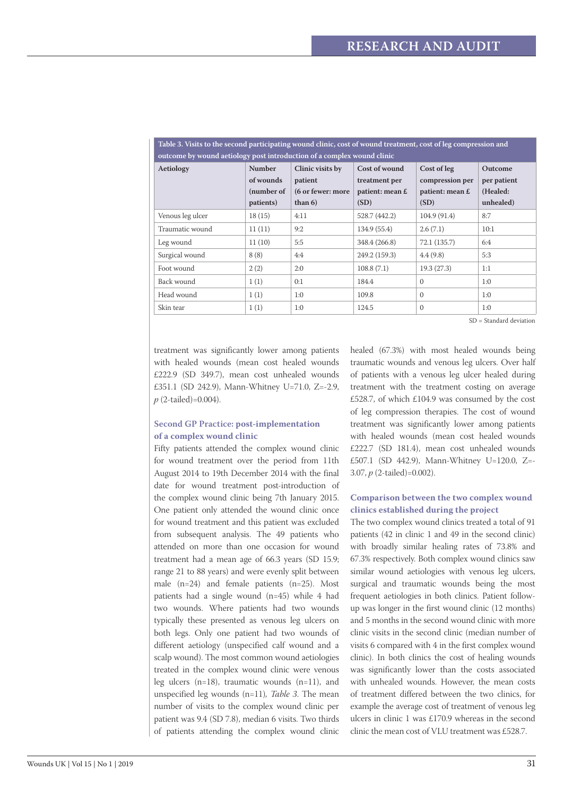| outcome by wound aetiology post introduction of a complex wound clinic |                         |                                |                         |                         |                       |  |  |  |
|------------------------------------------------------------------------|-------------------------|--------------------------------|-------------------------|-------------------------|-----------------------|--|--|--|
| Aetiology                                                              | <b>Number</b>           | Clinic visits by               | Cost of wound           | Cost of leg             | Outcome               |  |  |  |
|                                                                        | of wounds               | patient                        | treatment per           | compression per         | per patient           |  |  |  |
|                                                                        | (number of<br>patients) | (6 or fewer: more<br>than $6)$ | patient: mean £<br>(SD) | patient: mean £<br>(SD) | (Healed:<br>unhealed) |  |  |  |
| Venous leg ulcer                                                       | 18(15)                  | 4:11                           | 528.7 (442.2)           | 104.9 (91.4)            | 8:7                   |  |  |  |
| Traumatic wound                                                        | 11(11)                  | 9:2                            | 134.9 (55.4)            | 2.6(7.1)                | 10:1                  |  |  |  |
| Leg wound                                                              | 11(10)                  | 5:5                            | 348.4 (266.8)           | 72.1(135.7)             | 6:4                   |  |  |  |
| Surgical wound                                                         | 8(8)                    | 4:4                            | 249.2 (159.3)           | 4.4(9.8)                | 5:3                   |  |  |  |
| Foot wound                                                             | 2(2)                    | 2:0                            | 108.8(7.1)              | 19.3(27.3)              | 1:1                   |  |  |  |
| Back wound                                                             | 1(1)                    | 0:1                            | 184.4                   | $\Omega$                | 1:0                   |  |  |  |
| Head wound                                                             | 1(1)                    | 1:0                            | 109.8                   | $\Omega$                | 1:0                   |  |  |  |
| Skin tear                                                              | 1(1)                    | 1:0                            | 124.5                   | $\Omega$                | 1:0                   |  |  |  |

**Table 3. Visits to the second participating wound clinic, cost of wound treatment, cost of leg compression and** 

SD = Standard deviation

treatment was significantly lower among patients with healed wounds (mean cost healed wounds £222.9 (SD 349.7), mean cost unhealed wounds £351.1 (SD 242.9), Mann-Whitney U=71.0, Z=-2.9, *p* (2-tailed)=0.004).

# **Second GP Practice: post-implementation of a complex wound clinic**

Fifty patients attended the complex wound clinic for wound treatment over the period from 11th August 2014 to 19th December 2014 with the final date for wound treatment post-introduction of the complex wound clinic being 7th January 2015. One patient only attended the wound clinic once for wound treatment and this patient was excluded from subsequent analysis. The 49 patients who attended on more than one occasion for wound treatment had a mean age of 66.3 years (SD 15.9; range 21 to 88 years) and were evenly split between male (n=24) and female patients (n=25). Most patients had a single wound (n=45) while 4 had two wounds. Where patients had two wounds typically these presented as venous leg ulcers on both legs. Only one patient had two wounds of different aetiology (unspecified calf wound and a scalp wound). The most common wound aetiologies treated in the complex wound clinic were venous leg ulcers (n=18), traumatic wounds (n=11), and unspecified leg wounds (n=11)*, Table 3*. The mean number of visits to the complex wound clinic per patient was 9.4 (SD 7.8), median 6 visits. Two thirds of patients attending the complex wound clinic

healed (67.3%) with most healed wounds being traumatic wounds and venous leg ulcers. Over half of patients with a venous leg ulcer healed during treatment with the treatment costing on average £528.7, of which £104.9 was consumed by the cost of leg compression therapies. The cost of wound treatment was significantly lower among patients with healed wounds (mean cost healed wounds £222.7 (SD 181.4), mean cost unhealed wounds £507.1 (SD 442.9), Mann-Whitney U=120.0, Z=- 3.07, *p* (2-tailed)=0.002).

## **Comparison between the two complex wound clinics established during the project**

The two complex wound clinics treated a total of 91 patients (42 in clinic 1 and 49 in the second clinic) with broadly similar healing rates of 73.8% and 67.3% respectively. Both complex wound clinics saw similar wound aetiologies with venous leg ulcers, surgical and traumatic wounds being the most frequent aetiologies in both clinics. Patient followup was longer in the first wound clinic (12 months) and 5 months in the second wound clinic with more clinic visits in the second clinic (median number of visits 6 compared with 4 in the first complex wound clinic). In both clinics the cost of healing wounds was significantly lower than the costs associated with unhealed wounds. However, the mean costs of treatment differed between the two clinics, for example the average cost of treatment of venous leg ulcers in clinic 1 was £170.9 whereas in the second clinic the mean cost of VLU treatment was £528.7.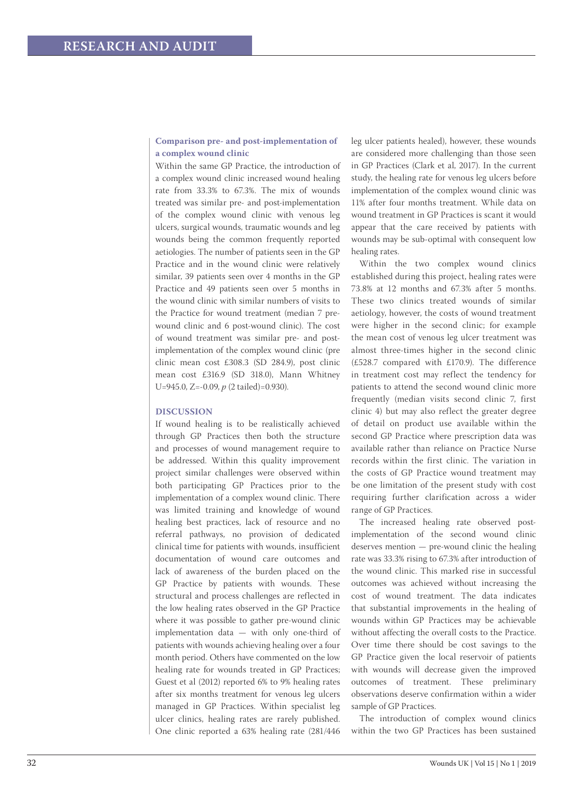# **Comparison pre- and post-implementation of a complex wound clinic**

Within the same GP Practice, the introduction of a complex wound clinic increased wound healing rate from 33.3% to 67.3%. The mix of wounds treated was similar pre- and post-implementation of the complex wound clinic with venous leg ulcers, surgical wounds, traumatic wounds and leg wounds being the common frequently reported aetiologies. The number of patients seen in the GP Practice and in the wound clinic were relatively similar, 39 patients seen over 4 months in the GP Practice and 49 patients seen over 5 months in the wound clinic with similar numbers of visits to the Practice for wound treatment (median 7 prewound clinic and 6 post-wound clinic). The cost of wound treatment was similar pre- and postimplementation of the complex wound clinic (pre clinic mean cost £308.3 (SD 284.9), post clinic mean cost £316.9 (SD 318.0), Mann Whitney U=945.0, Z=-0.09, *p* (2 tailed)=0.930).

## **DISCUSSION**

If wound healing is to be realistically achieved through GP Practices then both the structure and processes of wound management require to be addressed. Within this quality improvement project similar challenges were observed within both participating GP Practices prior to the implementation of a complex wound clinic. There was limited training and knowledge of wound healing best practices, lack of resource and no referral pathways, no provision of dedicated clinical time for patients with wounds, insufficient documentation of wound care outcomes and lack of awareness of the burden placed on the GP Practice by patients with wounds. These structural and process challenges are reflected in the low healing rates observed in the GP Practice where it was possible to gather pre-wound clinic implementation data — with only one-third of patients with wounds achieving healing over a four month period. Others have commented on the low healing rate for wounds treated in GP Practices; Guest et al (2012) reported 6% to 9% healing rates after six months treatment for venous leg ulcers managed in GP Practices. Within specialist leg ulcer clinics, healing rates are rarely published. One clinic reported a 63% healing rate (281/446 leg ulcer patients healed), however, these wounds are considered more challenging than those seen in GP Practices (Clark et al, 2017). In the current study, the healing rate for venous leg ulcers before implementation of the complex wound clinic was 11% after four months treatment. While data on wound treatment in GP Practices is scant it would appear that the care received by patients with wounds may be sub-optimal with consequent low healing rates.

Within the two complex wound clinics established during this project, healing rates were 73.8% at 12 months and 67.3% after 5 months. These two clinics treated wounds of similar aetiology, however, the costs of wound treatment were higher in the second clinic; for example the mean cost of venous leg ulcer treatment was almost three-times higher in the second clinic (£528.7 compared with £170.9). The difference in treatment cost may reflect the tendency for patients to attend the second wound clinic more frequently (median visits second clinic 7, first clinic 4) but may also reflect the greater degree of detail on product use available within the second GP Practice where prescription data was available rather than reliance on Practice Nurse records within the first clinic. The variation in the costs of GP Practice wound treatment may be one limitation of the present study with cost requiring further clarification across a wider range of GP Practices.

The increased healing rate observed postimplementation of the second wound clinic deserves mention — pre-wound clinic the healing rate was 33.3% rising to 67.3% after introduction of the wound clinic. This marked rise in successful outcomes was achieved without increasing the cost of wound treatment. The data indicates that substantial improvements in the healing of wounds within GP Practices may be achievable without affecting the overall costs to the Practice. Over time there should be cost savings to the GP Practice given the local reservoir of patients with wounds will decrease given the improved outcomes of treatment. These preliminary observations deserve confirmation within a wider sample of GP Practices.

The introduction of complex wound clinics within the two GP Practices has been sustained